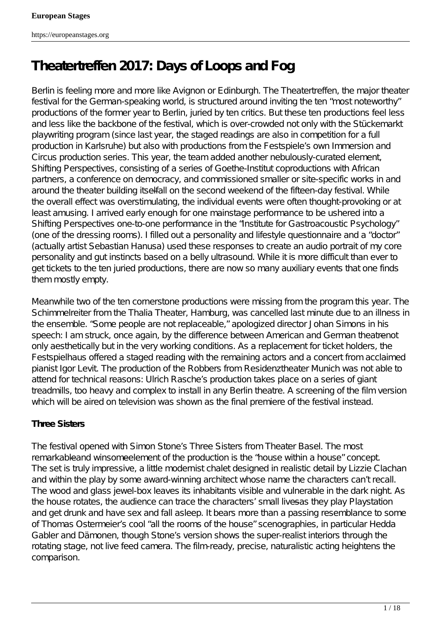# **Theatertreffen 2017: Days of Loops and Fog**

Berlin is feeling more and more like Avignon or Edinburgh. The Theatertreffen, the major theater festival for the German-speaking world, is structured around inviting the ten " most noteworthy" productions of the former year to Berlin, juried by ten critics. But these ten productions feel less and less like the backbone of the festival, which is over-crowded not only with the Stückemarkt playwriting program (since last year, the staged readings are also in competition for a full production in Karlsruhe) but also with productions from the Festspiele's own Immersion and Circus production series. This year, the team added another nebulously-curated element, Shifting Perspectives, consisting of a series of Goethe-Institut coproductions with African partners, a conference on democracy, and commissioned smaller or site-specific works in and around the theater building itselfall on the second weekend of the fifteen-day festival. While the overall effect was overstimulating, the individual events were often thought-provoking or at least amusing. I arrived early enough for one mainstage performance to be ushered into a Shifting Perspectives one-to-one performance in the "Institute for Gastroacoustic Psychology" (one of the dressing rooms). I filled out a personality and lifestyle questionnaire and a "doctor" (actually artist Sebastian Hanusa) used these responses to create an audio portrait of my core personality and gut instincts based on a belly ultrasound. While it is more difficult than ever to get tickets to the ten juried productions, there are now so many auxiliary events that one finds them mostly empty.

Meanwhile two of the ten cornerstone productions were missing from the program this year. *The Schimmelreiter* from the Thalia Theater, Hamburg, was cancelled last minute due to an illness in the ensemble. "Some people are not replaceable," apologized director Johan Simons in his speech: I am struck, once again, by the difference between American and German theatrenet only aesthetically but in the very working conditions. As a replacement for ticket holders, the Festspielhaus offered a staged reading with the remaining actors and a concert from acclaimed pianist Igor Levit. The production of the *Robbers* from Residenz theater Munich was not able to attend for technical reasons: Ulrich Rasche's production takes place on a series of giant treadmills, too heavy and complex to install in any Berlin theatre. A screening of the film version which will be aired on television was shown as the final premiere of the festival instead.

# *Three Sisters*

The festival opened with Simon Stone's *Three Sisters* from Theater Basel. The most remarkableand winsomeelement of the production is the " house within a house" concept. The set is truly impressive, a little modernist chalet designed in realistic detail by Lizzie Clachan and within the play by some award-winning architect whose name the characters can' trecall. The wood and glass jewel-box leaves its inhabitants visible and vulnerable in the dark night. As the house rotates, the audience can trace the characters' small lives as they play Playstation and get drunk and have sex and fall asleep. It bears more than a passing resemblance to some of Thomas Ostermeier's cool "all the rooms of the house" scenographies, in particularda *Gabler* and *Dämonen*, though Stone's version shows the super-realist interiors through the rotating stage, not live feed camera. The film-ready, precise, naturalistic acting heightens the comparison.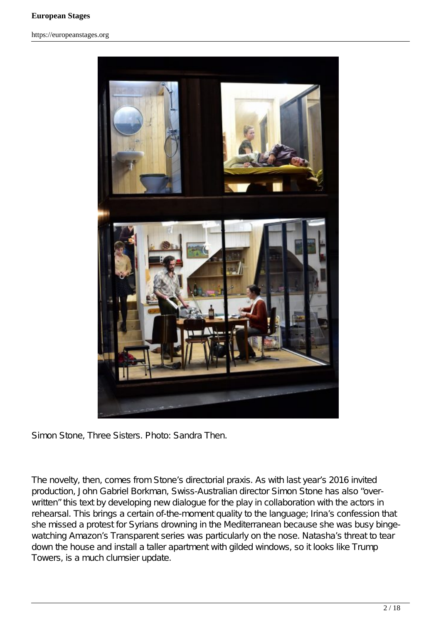

Simon Stone, *Three Sisters*. Photo: Sandra Then.

The novelty, then, comes from Stone's directorial praxis. As with last year's 2016 invited production, *John Gabriel Borkman*, Swiss-Australian director Simon Stone has also "overwritten" this text by developing new dialogue for the play in collaboration with the actors in rehearsal. This brings a certain of-the-moment quality to the language; Irina's confession that she missed a protest for Syrians drowning in the Mediterranean because she was busy bingewatching Amazon' *Transparent* series was particularly on the nose. Natasha's threat to tear down the house and install a taller apartment with gilded windows, so it looks like Trump Towers, is a much clumsier update.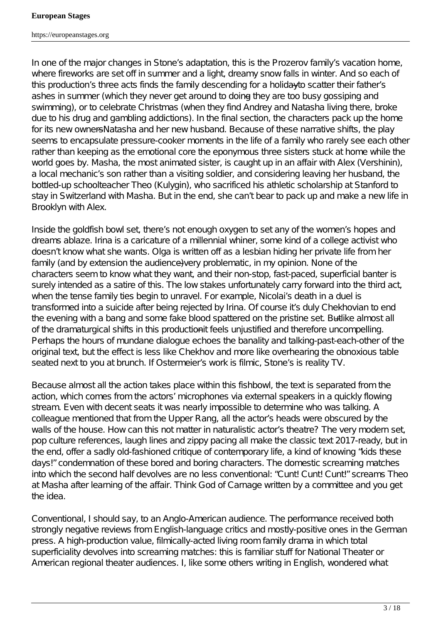https://europeanstages.org

In one of the major changes in Stone's adaptation, this is the Prozerov family' *vacation* home, where fireworks are set off in summer and a light, dreamy snow falls in winter. And so each of this production's three acts finds the family descending for a holiday to scatter their father's ashes in summer (which they never get around to doing—they are too busy gossiping and swimming), or to celebrate Christmas (when they find Andrey and Natasha living there, broke due to his drug and gambling addictions). In the final section, the characters pack up the home for its new owners Hatasha and her new husband. Because of these narrative shifts, the play seems to encapsulate pressure-cooker moments in the life of a family who rarely see each other rather than keeping as the emotional core the eponymous three sisters stuck at home while the world goes by. Masha, the most animated sister, is caught up in an affair with Alex (Vershinin), a local mechanic's son rather than a visiting soldier, and considering leaving her husband, the bottled-up schoolteacher Theo (Kulygin), who sacrificed his athletic scholarship at Stanford to stay in Switzerland with Masha. But in the end, she can' t bear to pack up and make a new life in Brooklyn with Alex.

Inside the goldfish bowl set, there's not enough oxygen to set any of the women's hopes and dreams ablaze. Irina is a caricature of a millennial whiner, some kind of a college activist who doesn' t know *hat* she wants. Olga is written off as a lesbian hiding her private life from her family (and by extension the audience) very problematic, in my opinion. None of the characters seem to know what they want, and their non-stop, fast-paced, superficial banter is surely intended as a satire of this. The low stakes unfortunately carry forward into the third act, when the tense family ties begin to unravel. For example, Nicolai's death in a duel is transformed into a suicide after being rejected by Irina. Of course it s duly Chekhovian to end the evening with a bang and some fake blood spattered on the pristine set. Butlike almost all of the dramaturgical shifts in this productionit feels unjustified and therefore uncompelling. Perhaps the hours of mundane dialogue echoes the banality and talking-past-each-other of the original text, but the effect is less like Chekhov and more like overhearing the obnoxious table seated next to you at brunch. If Ostermeier's work is filmic, Stone's is reality TV.

Because almost all the action takes place within this fishbowl, the text is separated from the action, which comes from the actors' microphones via external speakers in a quickly flowing stream. Even with decent seats it was nearly impossible to determine who was talking. A colleague mentioned that from the Upper Rang, all the actor's heads were obscured by the walls of the house. How can this not matter in naturalistic actor's theatre? The very modern set, pop culture references, laugh lines and zippy pacing all make the classic text 2017-ready, but in the end, offer a sadly old-fashioned critique of contemporary life, a kind of knowing "kids these days!" condemnation of these bored and boring characters. The domestic screaming matches into which the second half devolves are no less conventional: " Cunt! Cunt! Cunt!" screams Theo at Masha after learning of the affair. Think *God of Carnage* written by a committee and you get the idea.

Conventional, I should say, to an Anglo-American audience. The performance received both strongly negative reviews from English-language critics and mostly-positive ones in the German press. A high-production value, filmically-acted living room family drama in which total superficiality devolves into screaming matches: this is familiar stuff for National Theater or American regional theater audiences. I, like some others writing in English, wondered what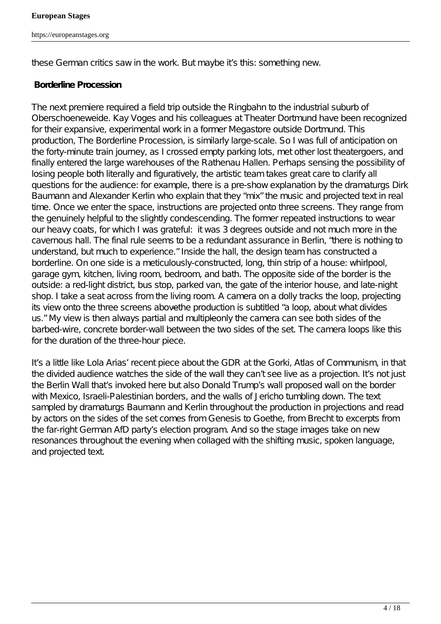these German critics saw in the work. But maybe it's this: something new.

#### *Borderline Procession*

The next premiere required a field trip outside the Ringbahn to the industrial suburb of Oberschoeneweide. Kay Voges and his colleagues at Theater Dortmund have been recognized for their expansive, experimental work in a former Megastore outside Dortmund. This production, *The Borderline Procession*, is similarly large-scale. So I was full of anticipation on the forty-minute train journey, as I crossed empty parking lots, met other lost theatergoers, and finally entered the large warehouses of the Rathenau Hallen. Perhaps sensing the possibility of losing people both literally and figuratively, the artistic team takes great care to clarify all questions for the audience: for example, there is a pre-show explanation by the dramaturgs Dirk Baumann and Alexander Kerlin who explain that they " mix" the music and projected text in real time. Once we enter the space, instructions are projected onto three screens. They range from the genuinely helpful to the slightly condescending. The former repeated instructions to wear our heavy coats, for which I was grateful: it was 3 degrees outside and not much more in the cavernous hall. The final rule seems to be a redundant assurance in Berlin, " there is nothing to understand, but much to experience." Inside the hall, the design team has constructed a borderline. On one side is a meticulously-constructed, long, thin strip of a house: whirlpool, garage gym, kitchen, living room, bedroom, and bath. The opposite side of the border is the outside: a red-light district, bus stop, parked van, the gate of the interior house, and late-night shop. I take a seat across from the living room. A camera on a dolly tracks the loop, projecting its view onto the three screens above the production is subtitled "a loop, about what divides us." My view is then always partial and multiple-only the camera can see both sides of the barbed-wire, concrete border-wall between the two sides of the set. The camera loops like this for the duration of the three-hour piece.

It sa little like Lola Arias' recent piece about the GDR at the Gorkitas of Communism, in that the divided audience watches the side of the wall they can' t see live as a projection. It's not just the Berlin Wall that's invoked here but also Donald Trump's wall proposed wall on the border with Mexico, Israeli-Palestinian borders, and the walls of Jericho tumbling down. The text sampled by dramaturgs Baumann and Kerlin throughout the production in projections and read by actors on the sides of the set comes from Genesis to Goethe, from Brecht to excerpts from the far-right German AfD party's election program. And so the stage images take on new resonances throughout the evening when collaged with the shifting music, spoken language, and projected text.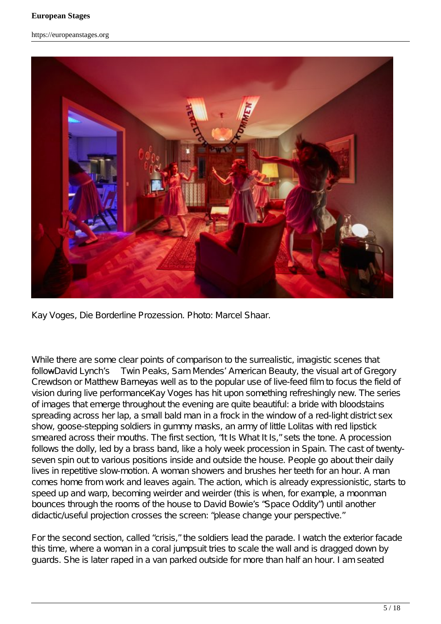

Kay Voges, *Die Borderline Prozession*. Photo: Marcel Shaar.

While there are some clear points of comparison to the surrealistic, imagistic scenes that follow David Lynch's *Twin Peaks*, Sam Mendes' *American Beauty*, the visual art of Gregory Crewdson or Matthew Barneyas well as to the popular use of live-feed film to focus the field of vision during live performance Kay Voges has hit upon something refreshingly new. The series of images that emerge throughout the evening are quite beautiful: a bride with bloodstains spreading across her lap, a small bald man in a frock in the window of a red-light district sex show, goose-stepping soldiers in gummy masks, an army of little Lolitas with red lipstick smeared across their mouths. The first section, "It Is What It Is," sets the tone. A procession follows the dolly, led by a brass band, like a holy week procession in Spain. The cast of twentyseven spin out to various positions inside and outside the house. People go about their daily lives in repetitive slow-motion. A woman showers and brushes her teeth for an hour. A man comes home from work and leaves again. The action, which is already expressionistic, starts to speed up and warp, becoming weirder and weirder (this is when, for example, a moonman bounces through the rooms of the house to David Bowie's "Space Oddity") until another didactic/useful projection crosses the screen: " please change your perspective."

For the second section, called "crisis," the soldiers lead the parade. I watch the exterior facade this time, where a woman in a coral jumpsuit tries to scale the wall and is dragged down by guards. She is later raped in a van parked outside for more than half an hour. I am seated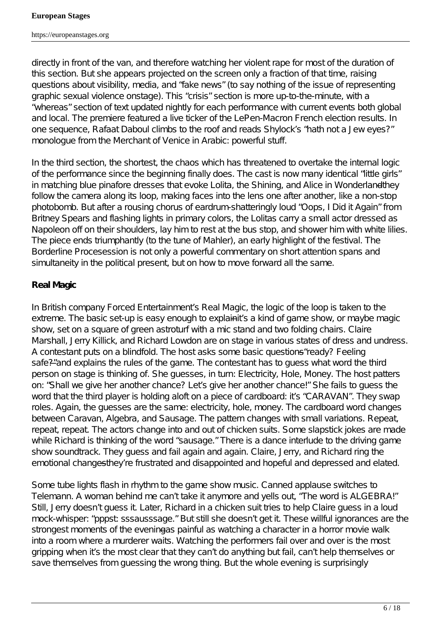directly in front of the van, and therefore watching her violent rape for most of the duration of this section. But she appears projected on the screen only a fraction of that time, raising questions about visibility, media, and " fake news" (to say nothing of the issue of representing graphic sexual violence onstage). This "crisis" section is more up-to-the-minute, with a "whereas" section of text updated nightly for each performance with current events both global and local. The premiere featured a live ticker of the LePen-Macron French election results. In one sequence, Rafaat Daboul climbs to the roof and reads Shylock's "hath not a Jew eyes?" monologue from the *Merchant of Venice* in Arabic: powerful stuff.

In the third section, the shortest, the chaos which has threatened to overtake the internal logic of the performance since the beginning finally does. The cast is now many identical "little girls" in matching blue pinafore dresses that evoke *Lolita, the Shining,* and Alice in Wonderland they follow the camera along its loop, making faces into the lens one after another, like a non-stop photobomb. But after a rousing chorus of eardrum-shatteringly loud "Oops, I Did it Again" from Britney Spears and flashing lights in primary colors, the Lolitas carry a small actor dressed as Napoleon off on their shoulders, lay him to rest at the bus stop, and shower him with white lilies. The piece ends triumphantly (to the tune of Mahler), an early highlight of the festival. The *Borderline Procesession* is not only a powerful commentary on short attention spans and simultaneity in the political present, but on how to move forward all the same.

# *Real Magic*

In British company Forced Entertainment'  $\Re$  eal Magic, the logic of the loop is taken to the extreme. The basic set-up is easy enough to explain  $#$  s a kind of game show, or maybe magic show, set on a square of green astroturf with a mic stand and two folding chairs. Claire Marshall, Jerry Killick, and Richard Lowdon are on stage in various states of dress and undress. A contestant puts on a blindfold. The host asks some basic questions—ready? Feeling safe?" and explains the rules of the game. The contestant has to guess what word the third person on stage is thinking of. She guesses, in turn: Electricity, Hole, Money. The host patters on: " Shall we give her another chance? Let's give her another chance!" She fails to guess the word that the third player is holding aloft on a piece of cardboard: it s " CARAVAN". They swap roles. Again, the guesses are the same: electricity, hole, money. The cardboard word changes between Caravan, Algebra, and Sausage. The pattern changes with small variations. Repeat, repeat, repeat. The actors change into and out of chicken suits. Some slapstick jokes are made while Richard is thinking of the word " sausage." There is a dance interlude to the driving game show soundtrack. They guess and fail again and again. Claire, Jerry, and Richard ring the emotional changes they' re frustrated and disappointed and hopeful and depressed and elated.

Some tube lights flash in rhythm to the game show music. Canned applause switches to Telemann. A woman behind me can' take it anymore and yells out, " The word is ALGEBRA!" Still, Jerry doesn' t quess it. Later, Richard in a chicken suit tries to help Claire quess in a loud mock-whisper: " pppst sssausssage." But still she doesn' t get it. These willful ignorances are the strongest moments of the eveningas painful as watching a character in a horror movie walk into a room where a murderer waits. Watching the performers fail over and over is the most gripping when it s the most clear that they can't do anything but fail, can't help themselves or save themselves from quessing the wrong thing. But the whole evening is surprisingly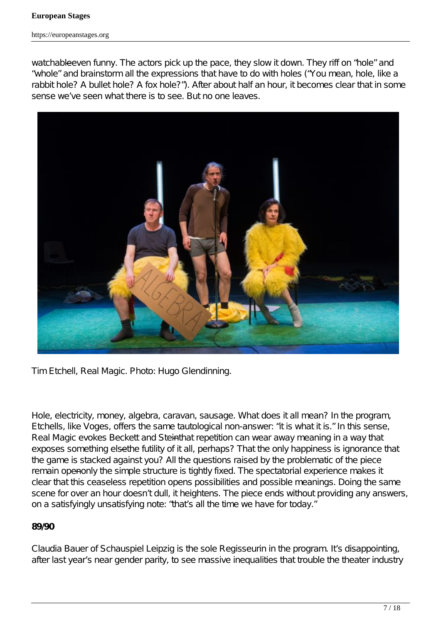https://europeanstages.org

watchable even funny. The actors pick up the pace, they slow it down. They riff on "hole" and "whole" and brainstorm all the expressions that have to do with holes ("You mean, hole, like a rabbit hole? A bullet hole? A fox hole?"). After about half an hour, it becomes clear that in some sense we've seen what there is to see. But no one leaves.



Tim Etchell, *Real Magic*. Photo: Hugo Glendinning.

Hole, electricity, money, algebra, caravan, sausage. What does it all mean? In the program, Etchells, like Voges, offers the same tautological non-answer: "it is what it is." In this sense, *Real Magic* evokes Beckett and Stein that repetition can wear away meaning in a way that exposes something elsethe futility of it all, perhaps? That the only happiness is ignorance that the game is stacked against you? All the questions raised by the problematic of the piece remain openonly the simple structure is tightly fixed. The spectatorial experience makes it clear that this ceaseless repetition opens possibilities and possible meanings. Doing the same scene for over an hour doesn' t dull, it heightens. The piece ends without providing any answers, on a satisfyingly unsatisfying note: " that sall the time we have for today."

## *89/90*

Claudia Bauer of Schauspiel Leipzig is the sole *Regisseurin* in the program. It's disappointing, after last year's near gender parity, to see massive inequalities that trouble the theater industry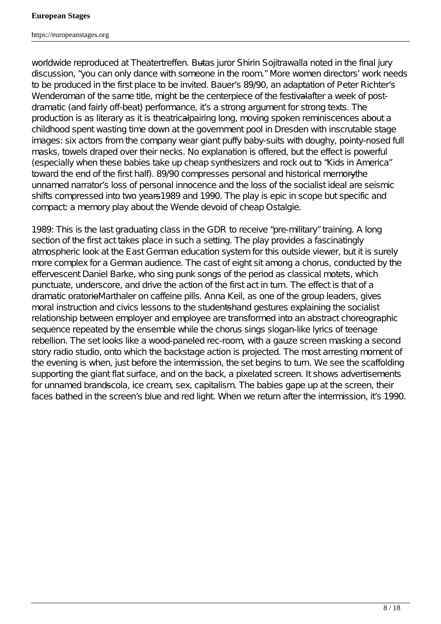worldwide reproduced at Theatertreffen. Butas juror Shirin Sojitrawalla noted in the final jury discussion, "you can only dance with someone in the room." More women directors' work needs to be produced in the first place to be invited. Bauer' \$9/90, an adaptation of Peter Richter's *Wenderoman* of the same title, might be the centerpiece of the festivalafter a week of postdramatic (and fairly off-beat) performance, it s a strong argument for strong texts. The production is as literary as it is theatricalpairing long, moving spoken reminiscences about a childhood spent wasting time down at the government pool in Dresden with inscrutable stage images: six actors from the company wear giant puffy baby-suits with doughy, pointy-nosed full masks, towels draped over their necks. No explanation is offered, but the effect is powerful (especially when these babies take up cheap synthesizers and rock out to "Kids in America" toward the end of the first half). *89/90* compresses personal and historical memory the unnamed narrator's loss of personal innocence and the loss of the socialist ideal are seismic shifts compressed into two years<sup>4989</sup> and 1990. The play is epic in scope but specific and compact: a memory play about the *Wende* devoid of cheap *Ostalgie*.

1989: This is the last graduating class in the GDR to receive " pre-military" training. A long section of the first act takes place in such a setting. The play provides a fascinatingly atmospheric look at the East German education system for this outside viewer, but it is surely more complex for a German audience. The cast of eight sit among a chorus, conducted by the effervescent Daniel Barke, who sing punk songs of the period as classical motets, which punctuate, underscore, and drive the action of the first act in turn. The effect is that of a dramatic oratorio Marthaler on caffeine pills. Anna Keil, as one of the group leaders, gives moral instruction and civics lessons to the studentshand gestures explaining the socialist relationship between employer and employee are transformed into an abstract choreographic sequence repeated by the ensemble while the chorus sings slogan-like lyrics of teenage rebellion. The set looks like a wood-paneled rec-room, with a gauze screen masking a second story radio studio, onto which the backstage action is projected. The most arresting moment of the evening is when, just before the intermission, the set begins to turn. We see the scaffolding supporting the giant flat surface, and on the back, a pixelated screen. It shows advertisements for unnamed brandseela, ice cream, sex, capitalism. The babies gape up at the screen, their faces bathed in the screen's blue and red light. When we return after the intermission, it is 1990.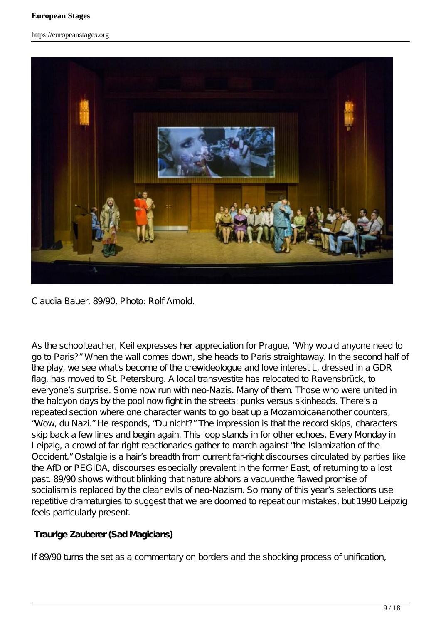https://europeanstages.org



Claudia Bauer, *89/90*. Photo: Rolf Arnold.

As the schoolteacher, Keil expresses her appreciation for Prague, "Why would anyone need to go to Paris?" When the wall comes down, she heads to Paris straightaway. In the second half of the play, we see what's become of the crewideologue and love interest L, dressed in a GDR flag, has moved to St. Petersburg. A local transvestite has relocated to Ravensbrück, to everyone's surprise. Some now run with neo-Nazis. Many of them. Those who were united in the halcyon days by the pool now fight in the streets: punks versus skinheads. There's a repeated section where one character wants to go beat up a Mozambicana nother counters, "Wow, du Nazi." He responds, "Du nicht?" The impression is that the record skips, characters skip back a few lines and begin again. This loop stands in for other echoes. Every Monday in Leipzig, a crowd of far-right reactionaries gather to march against "the Islamization of the Occident" Ostalgie is a hair's breadth from current far-right discourses circulated by parties like the AfD or PEGIDA, discourses especially prevalent in the former East, of returning to a lost past. 89/90 shows without blinking that nature abhors a vacuum the flawed promise of socialism is replaced by the clear evils of neo-Nazism. So many of this year's selections use repetitive dramaturgies to suggest that we are doomed to repeat our mistakes, but 1990 Leipzig feels particularly present.

## *Traurige Zauberer (Sad Magicians)*

If *89/90* turns the set as a commentary on borders and the shocking process of unification,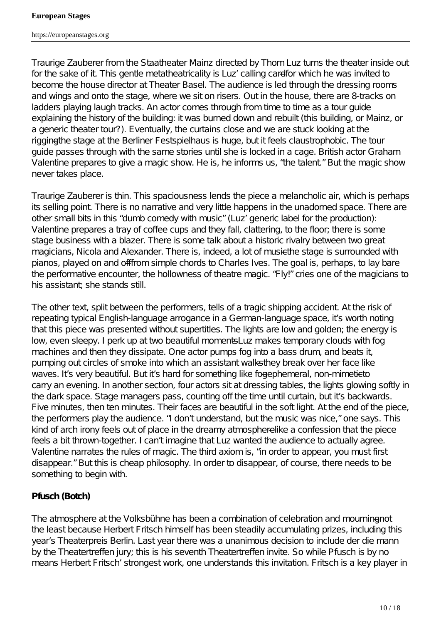https://europeanstages.org

*Traurige Zauberer* from the Staatheater Mainz directed by Thom Luz turns the theater inside out for the sake of it. This gentle metatheatricality is Luz' calling cardfor which he was invited to become the house director at Theater Basel. The audience is led through the dressing rooms and wings and onto the stage, where we sit on risers. Out in the house, there are 8-tracks on ladders playing laugh tracks. An actor comes through from time to time as a tour guide explaining the history of the building: it was burned down and rebuilt (this building, or Mainz, or a generic theater tour?). Eventually, the curtains close and we are stuck looking at the rigging the stage at the Berliner Festspielhaus is huge, but it feels claustrophobic. The tour guide passes through with the same stories until she is locked in a cage. British actor Graham Valentine prepares to give a magic show. He is, he informs us, " the talent." But the magic show never takes place.

*Traurige Zauberer* is thin. This spaciousness lends the piece a melancholic air, which is perhaps its selling point. There is no narrative and very little happens in the unadorned space. There are other small bits in this " dumb comedy with music" (Luz' generic label for the production): Valentine prepares a tray of coffee cups and they fall, clattering, to the floor; there is some stage business with a blazer. There is some talk about a historic rivalry between two great magicians, Nicola and Alexander. There is, indeed, a lot of music<sup>the</sup> stage is surrounded with pianos, played on and offfrom simple chords to Charles Ives. The goal is, perhaps, to lay bare the performative encounter, the hollowness of theatre magic. "Fly!" cries one of the magicians to his assistant she stands still.

The other text, split between the performers, tells of a tragic shipping accident. At the risk of repeating typical English-language arrogance in a German-language space, it s worth noting that this piece was presented without supertitles. The lights are low and golden; the energy is low, even sleepy. I perk up at two beautiful moments—Luz makes temporary clouds with fog machines and then they dissipate. One actor pumps fog into a bass drum, and beats it, pumping out circles of smoke into which an assistant walks they break over her face like waves. It s very beautiful. But it s hard for something like fogephemeral, non-mimetictocarry an evening. In another section, four actors sit at dressing tables, the lights glowing softly in the dark space. Stage managers pass, counting off the time until curtain, but it s backwards. Five minutes, then ten minutes. Their faces are beautiful in the soft light. At the end of the piece, the performers play the audience. " I don' t understand, but the music was nice," one says. This kind of arch irony feels out of place in the dreamy atmospherelike a confession that the piece feels a bit thrown-together. I can' timagine that Luz wanted the audience to actually agree. Valentine narrates the rules of magic. The third axiom is, " in order to appear, you must first disappear." But this is cheap philosophy. In order to disappear, of course, there needs to be something to begin with.

## *Pfusch* **(Botch)**

The atmosphere at the Volksbühne has been a combination of celebration and mourning net the least because Herbert Fritsch himself has been steadily accumulating prizes, including this year's Theaterpreis Berlin. Last year there was a unanimous decision to includeer die mann by the Theatertreffen jury; this is his seventh Theatertreffen invite. So while *Pfusch* is by no means Herbert Fritsch' strongest work, one understands this invitation. Fritsch is a key player in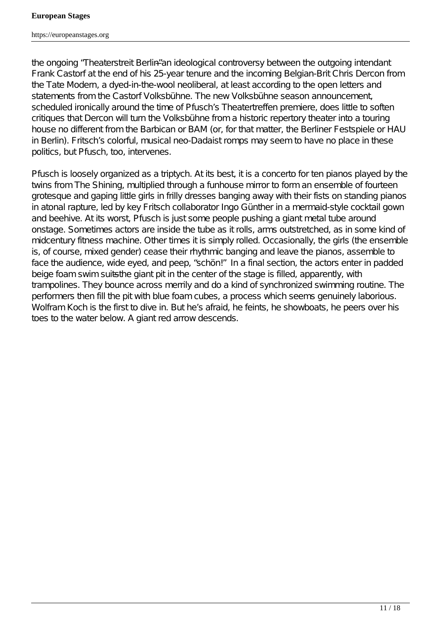the ongoing "*Theaterstreit Berlin"*an ideological controversy between the outgoing intendant Frank Castorf at the end of his 25-year tenure and the incoming Belgian-Brit Chris Dercon from the Tate Modern, a dyed-in-the-wool neoliberal, at least according to the open letters and statements from the Castorf Volksbühne. The new Volksbühne season announcement, scheduled ironically around the time of *Pfusch'* s Theatertreffen premiere, does little to soften critiques that Dercon will turn the Volksbühne from a historic repertory theater into a touring house no different from the Barbican or BAM (or, for that matter, the Berliner Festspiele or HAU in Berlin). Fritsch's colorful, musical neo-Dadaist romps may seem to have no place in these politics, but *Pfusch*, too, intervenes.

*Pfusch* is loosely organized as a triptych. At its best, it is a concerto for ten pianos played by the twins from *The Shining*, multiplied through a funhouse mirror to form an ensemble of fourteen grotesque and gaping little girls in frilly dresses banging away with their fists on standing pianos in atonal rapture, led by key Fritsch collaborator Ingo Günther in a mermaid-style cocktail gown and beehive. At its worst, *Pfusch* is just some people pushing a giant metal tube around onstage. Sometimes actors are inside the tube as it rolls, arms outstretched, as in some kind of midcentury fitness machine. Other times it is simply rolled. Occasionally, the girls (the ensemble is, of course, mixed gender) cease their rhythmic banging and leave the pianos, assemble to face the audience, wide eyed, and peep, " schön!" In a final section, the actors enter in padded beige foam swim suits the giant pit in the center of the stage is filled, apparently, with trampolines. They bounce across merrily and do a kind of synchronized swimming routine. The performers then fill the pit with blue foam cubes, a process which seems genuinely laborious. Wolfram Koch is the first to dive in. But he's afraid, he feints, he showboats, he peers over his toes to the water below. A giant red arrow descends.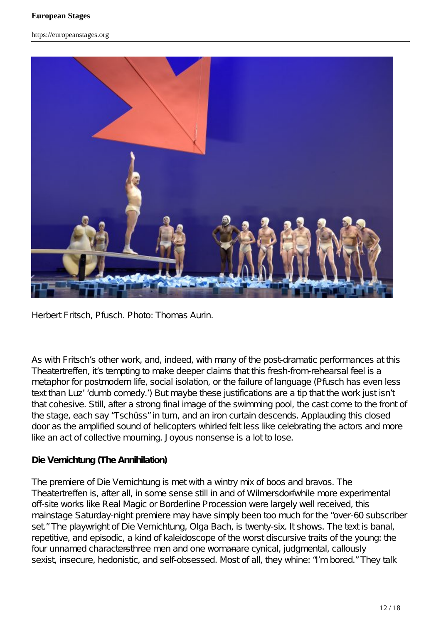

Herbert Fritsch, *Pfusch*. Photo: Thomas Aurin.

As with Fritsch's other work, and, indeed, with many of the post-dramatic performances at this *Theatertreffen*, it stempting to make deeper claims that this fresh-from-rehearsal feel is a metaphor for postmodern life, social isolation, or the failure of language (*Pfusch* has even less text than Luz' ' dumb comedy.') But maybe these justifications are a tip that the work just isn't that cohesive. Still, after a strong final image of the swimming pool, the cast come to the front of the stage, each say "Tschüss" in turn, and an iron curtain descends. Applauding this closed door as the amplified sound of helicopters whirled felt less like celebrating the actors and more like an act of collective mourning. Joyous nonsense is a lot to lose.

#### *Die Vernichtung* **(The Annihilation)**

The premiere of *Die Vernichtung* is met with a wintry mix of boos and bravos. The Theatertreffen is, after all, in some sense still in and of Wilmersdorf<del>wh</del>ile more experimental off-site works like *Real Magic* or *Borderline Procession* were largely well received, this mainstage Saturday-night premiere may have simply been too much for the "over-60 subscriber set." The playwright o*f ie Vernichtung*, Olga Bach, is twenty-six. It shows. The text is banal, repetitive, and episodic, a kind of kaleidoscope of the worst discursive traits of the young: the four unnamed characters#ree men and one womanare cynical, judgmental, callously sexist, insecure, hedonistic, and self-obsessed. Most of all, they whine: "I'm bored." They talk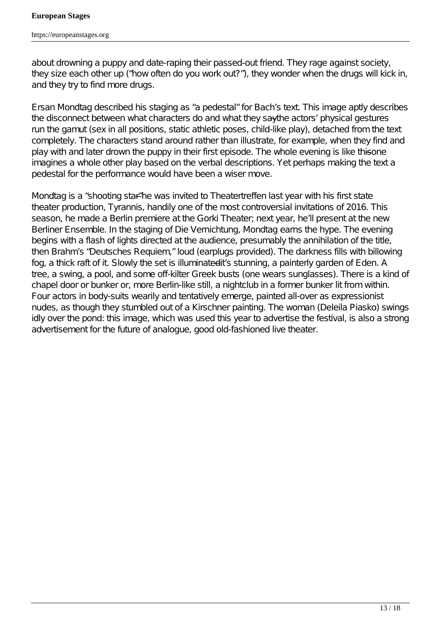about drowning a puppy and date-raping their passed-out friend. They rage against society, they size each other up (" how often do you work out?"), they wonder when the drugs will kick in, and they try to find more drugs.

Ersan Mondtag described his staging as " a pedestal" for Bach's text. This image aptly describes the disconnect between what characters do and what they say the actors' physical gestures run the gamut (sex in all positions, static athletic poses, child-like play), detached from the text completely. The characters stand around rather than illustrate, for example, when they find and play with and later drown the puppy in their first episode. The whole evening is like thisene imagines a whole other play based on the verbal descriptions. Yet perhaps making the text a pedestal for the performance would have been a wiser move.

Mondtag is a " shooting star" he was invited to Theatertreffen last year with his first state theater production, *Tyrannis*, handily one of the most controversial invitations of 2016. This season, he made a Berlin premiere at the Gorki Theater; next year, he'll present at the new Berliner Ensemble. In the staging of *Die Vernichtung*, Mondtag earns the hype. The evening begins with a flash of lights directed at the audience, presumably the annihilation of the title, then Brahm's "Deutsches Requientoud (earplugs provided). The darkness fills with billowing fog, a thick raft of it. Slowly the set is illuminated it is stunning, a painterly garden of Eden. A tree, a swing, a pool, and some off-kilter Greek busts (one wears sunglasses). There is a kind of chapel door or bunker or, more Berlin-like still, a nightclub in a former bunker lit from within. Four actors in body-suits wearily and tentatively emerge, painted all-over as expressionist nudes, as though they stumbled out of a Kirschner painting. The woman (Deleila Piasko) swings idly over the pond: this image, which was used this year to advertise the festival, is also a strong advertisement for the future of analogue, good old-fashioned live theater.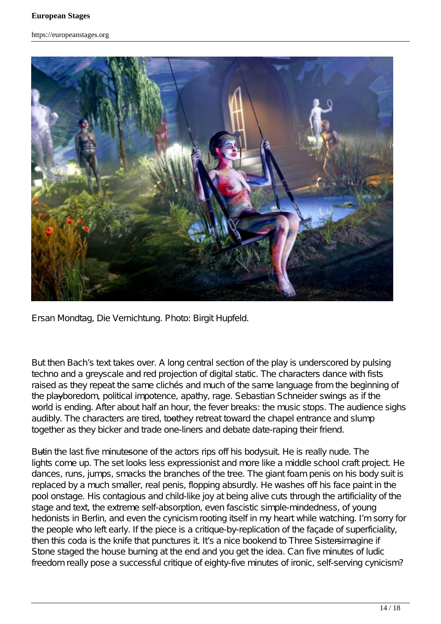

Ersan Mondtag, *Die Vernichtung*. Photo: Birgit Hupfeld.

But then Bach's text takes over. A long central section of the play is underscored by pulsing techno and a greyscale and red projection of digital static. The characters dance with fists raised as they repeat the same clichés and much of the same language from the beginning of the playboredom, political impotence, apathy, rage. Sebastian Schneider swings as if the world is ending. After about half an hour, the fever breaks: the music stops. The audience sighs audibly. The characters are tired, too they retreat toward the chapel entrance and slump together as they bicker and trade one-liners and debate date-raping their friend.

Butin the last five minutesone of the actors rips off his bodysuit. He is really nude. The lights come up. The set looks less expressionist and more like a middle school craft project. He dances, runs, jumps, smacks the branches of the tree. The giant foam penis on his body suit is replaced by a much smaller, real penis, flopping absurdly. He washes off his face paint in the pool onstage. His contagious and child-like joy at being alive cuts through the artificiality of the stage and text, the extreme self-absorption, even fascistic simple-mindedness, of young hedonists in Berlin, and even the cynicism rooting itself in my heart while watching. I' m sorry for the people who left early. If the piece is a critique-by-replication of the façade of superficiality, then this coda is the knife that punctures it. It s a nice bookend to *hree Sistersimagine* if Stone staged the house burning at the end and you get the idea. Can five minutes of ludic freedom really pose a successful critique of eighty-five minutes of ironic, self-serving cynicism?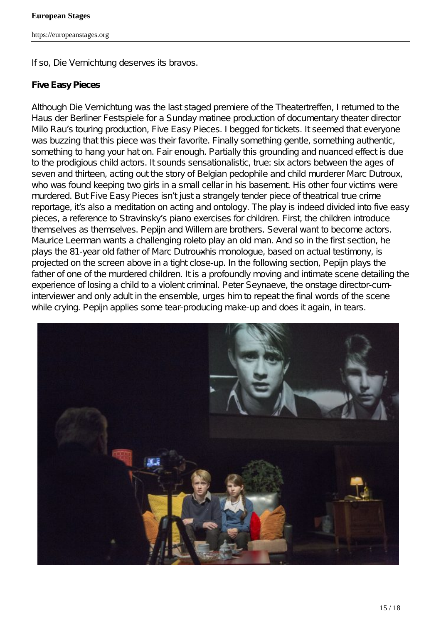If so, *Die Vernichtung* deserves its bravos.

#### *Five Easy Pieces*

Although *Die Vernichtung* was the last staged premiere of the Theatertreffen, I returned to the Haus der Berliner Festspiele for a Sunday matinee production of documentary theater director Milo Rau's touring production, *Five Easy Pieces*. I begged for tickets. It seemed that everyone was buzzing that this piece was their favorite. Finally something gentle, something authentic, something to hang your hat on. Fair enough. Partially this grounding and nuanced effect is due to the prodigious child actors. It sounds sensationalistic, true: six actors between the ages of seven and thirteen, acting out the story of Belgian pedophile and child murderer Marc Dutroux, who was found keeping two girls in a small cellar in his basement. His other four victims were murdered. But *Five Easy Pieces* isn' tjust a strangely tender piece of theatrical true crime reportage, it s also a meditation on acting and ontology. The play is indeed divided into five easy pieces, a reference to Stravinsky's piano exercises for children. First, the children introduce themselves as themselves. Pepijn and Willem are brothers. Several want to become actors. Maurice Leerman wants a challenging role to play an old man. And so in the first section, he plays the 81-year old father of Marc Dutrouxhis monologue, based on actual testimony, is projected on the screen above in a tight close-up. In the following section, Pepijn plays the father of one of the murdered children. It is a profoundly moving and intimate scene detailing the experience of losing a child to a violent criminal. Peter Seynaeve, the onstage director-cuminterviewer and only adult in the ensemble, urges him to repeat the final words of the scene while crying. Pepijn applies some tear-producing make-up and does it again, in tears.

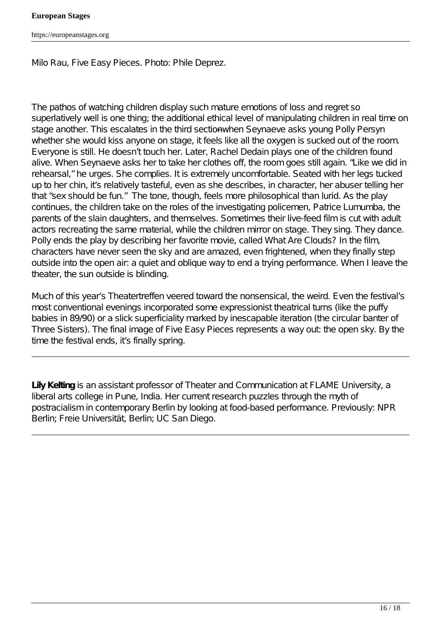Milo Rau, *Five Easy Pieces*. Photo: Phile Deprez.

The pathos of watching children display such mature emotions of loss and regret so superlatively well is one thing; the additional ethical level of manipulating children in real time on stage another. This escalates in the third sectionwhen Seynaeve asks young Polly Persyn whether she would kiss anyone on stage, it feels like all the oxygen is sucked out of the room. Everyone is still. He doesn't touch her. Later, Rachel Dedain plays one of the children found alive. When Seynaeve asks her to take her clothes off, the room goes still again. " Like we did in rehearsal," he urges. She complies. It is extremely uncomfortable. Seated with her legs tucked up to her chin, it s relatively tasteful, even as she describes, in character, her abuser telling her that " sex should be fun." The tone, though, feels more philosophical than lurid. As the play continues, the children take on the roles of the investigating policemen, Patrice Lumumba, the parents of the slain daughters, and themselves. Sometimes their live-feed film is cut with adult actors recreating the same material, while the children mirror on stage. They sing. They dance. Polly ends the play by describing her favorite movie, called *What Are Clouds?* In the film, characters have never seen the sky and are amazed, even frightened, when they finally step outside into the open air: a quiet and oblique way to end a trying performance. When I leave the theater, the sun outside is blinding.

Much of this year's Theatertreffen veered toward the nonsensical, the weird. Even the festival's most conventional evenings incorporated some expressionist theatrical turns (like the puffy babies in 89/90) or a slick superficiality marked by inescapable iteration (the circular banter of *Three Sisters*). The final image of *Five Easy Pieces* represents a way out: the open sky. By the time the festival ends, it s finally spring.

**Lily Kelting** is an assistant professor of Theater and Communication at FLAME University, a liberal arts college in Pune, India. Her current research puzzles through the myth of postracialism in contemporary Berlin by looking at food-based performance. Previously: NPR Berlin; Freie Universität, Berlin; UC San Diego.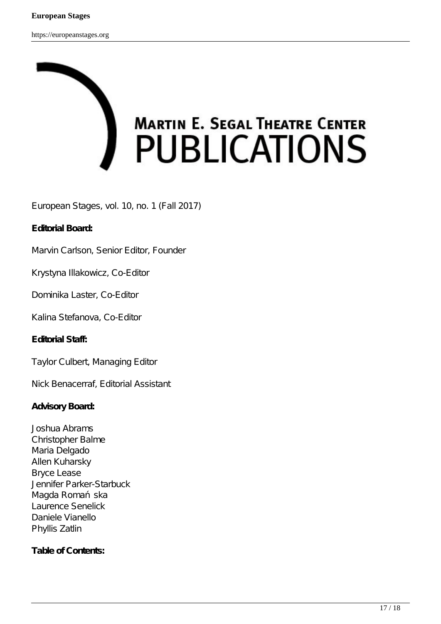# **MARTIN E. SEGAL THEATRE CENTER PUBLICATIONS**

European Stages, vol. 10, no. 1 (Fall 2017)

#### **Editorial Board:**

Marvin Carlson, Senior Editor, Founder

Krystyna Illakowicz, Co-Editor

Dominika Laster, Co-Editor

Kalina Stefanova, Co-Editor

**Editorial Staff:**

Taylor Culbert, Managing Editor

Nick Benacerraf, Editorial Assistant

#### **Advisory Board:**

Joshua Abrams Christopher Balme Maria Delgado Allen Kuharsky Bryce Lease Jennifer Parker-Starbuck Magda Roma ska Laurence Senelick Daniele Vianello Phyllis Zatlin

#### **Table of Contents:**